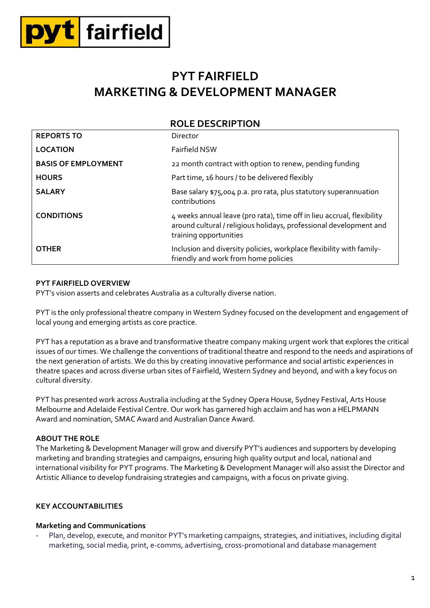

# **PYT FAIRFIELD MARKETING & DEVELOPMENT MANAGER**

|                            | <b>ROLE DESCRIPTION</b>                                                                                                                                                |
|----------------------------|------------------------------------------------------------------------------------------------------------------------------------------------------------------------|
| <b>REPORTS TO</b>          | Director                                                                                                                                                               |
| <b>LOCATION</b>            | Fairfield NSW                                                                                                                                                          |
| <b>BASIS OF EMPLOYMENT</b> | 22 month contract with option to renew, pending funding                                                                                                                |
| <b>HOURS</b>               | Part time, 16 hours / to be delivered flexibly                                                                                                                         |
| <b>SALARY</b>              | Base salary \$75,004 p.a. pro rata, plus statutory superannuation<br>contributions                                                                                     |
| <b>CONDITIONS</b>          | 4 weeks annual leave (pro rata), time off in lieu accrual, flexibility<br>around cultural / religious holidays, professional development and<br>training opportunities |
| <b>OTHER</b>               | Inclusion and diversity policies, workplace flexibility with family-<br>friendly and work from home policies                                                           |

## **PYT FAIRFIELD OVERVIEW**

PYT's vision asserts and celebrates Australia as a culturally diverse nation.

PYT is the only professional theatre company in Western Sydney focused on the development and engagement of local young and emerging artists as core practice.

PYT has a reputation as a brave and transformative theatre company making urgent work that explores the critical issues of our times. We challenge the conventions of traditional theatre and respond to the needs and aspirations of the next generation of artists. We do this by creating innovative performance and social artistic experiences in theatre spaces and across diverse urban sites of Fairfield, Western Sydney and beyond, and with a key focus on cultural diversity.

PYT has presented work across Australia including at the Sydney Opera House, Sydney Festival, Arts House Melbourne and Adelaide Festival Centre. Our work has garnered high acclaim and has won a HELPMANN Award and nomination, SMAC Award and Australian Dance Award.

### **ABOUT THE ROLE**

The Marketing & Development Manager will grow and diversify PYT's audiences and supporters by developing marketing and branding strategies and campaigns, ensuring high quality output and local, national and international visibility for PYT programs. The Marketing & Development Manager will also assist the Director and Artistic Alliance to develop fundraising strategies and campaigns, with a focus on private giving.

### **KEY ACCOUNTABILITIES**

### **Marketing and Communications**

Plan, develop, execute, and monitor PYT's marketing campaigns, strategies, and initiatives, including digital marketing, social media, print, e-comms, advertising, cross-promotional and database management